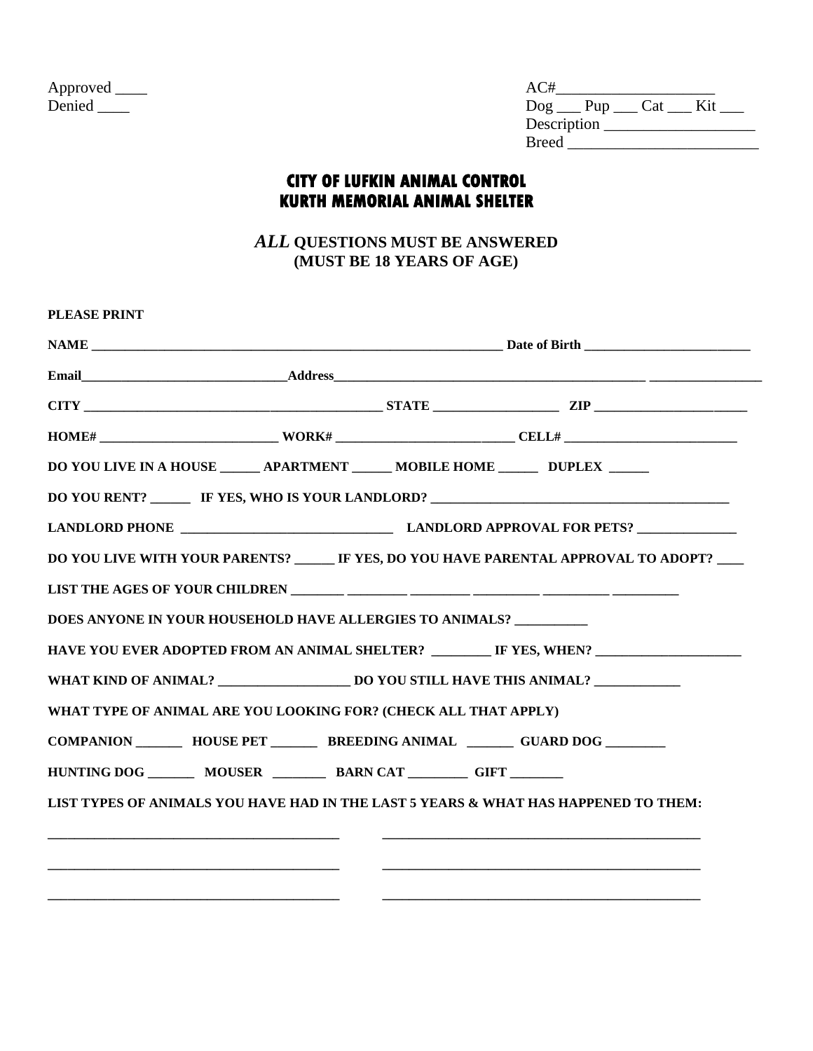| Approved |  |
|----------|--|
| Denied   |  |

| Approved _____ | AC#                               |
|----------------|-----------------------------------|
|                | Kit<br>$\log$ ___ Pup ___ Cat ___ |
|                | Description                       |
|                | <b>Breed</b>                      |

## **CITY OF LUFKIN ANIMAL CONTROL KURTH MEMORIAL ANIMAL SHELTER**

*ALL* **QUESTIONS MUST BE ANSWERED (MUST BE 18 YEARS OF AGE)**

| DO YOU LIVE IN A HOUSE _______ APARTMENT _______ MOBILE HOME _______ DUPLEX ______<br>DO YOU RENT? ________ IF YES, WHO IS YOUR LANDLORD? _____________________________<br>HAVE YOU EVER ADOPTED FROM AN ANIMAL SHELTER? IF YES, WHEN? IN ANIMAL SHELTER AND THE YES, WHEN?<br>WHAT TYPE OF ANIMAL ARE YOU LOOKING FOR? (CHECK ALL THAT APPLY)<br>COMPANION __________ HOUSE PET __________ BREEDING ANIMAL ________ GUARD DOG ________<br>LIST TYPES OF ANIMALS YOU HAVE HAD IN THE LAST 5 YEARS & WHAT HAS HAPPENED TO THEM: |  |  |
|--------------------------------------------------------------------------------------------------------------------------------------------------------------------------------------------------------------------------------------------------------------------------------------------------------------------------------------------------------------------------------------------------------------------------------------------------------------------------------------------------------------------------------|--|--|
|                                                                                                                                                                                                                                                                                                                                                                                                                                                                                                                                |  |  |
|                                                                                                                                                                                                                                                                                                                                                                                                                                                                                                                                |  |  |
|                                                                                                                                                                                                                                                                                                                                                                                                                                                                                                                                |  |  |
| DO YOU LIVE WITH YOUR PARENTS? ______ IF YES, DO YOU HAVE PARENTAL APPROVAL TO ADOPT? ____<br>DOES ANYONE IN YOUR HOUSEHOLD HAVE ALLERGIES TO ANIMALS?<br>HUNTING DOG ________ MOUSER _________ BARN CAT _________ GIFT ________                                                                                                                                                                                                                                                                                               |  |  |
|                                                                                                                                                                                                                                                                                                                                                                                                                                                                                                                                |  |  |
|                                                                                                                                                                                                                                                                                                                                                                                                                                                                                                                                |  |  |
|                                                                                                                                                                                                                                                                                                                                                                                                                                                                                                                                |  |  |
|                                                                                                                                                                                                                                                                                                                                                                                                                                                                                                                                |  |  |
|                                                                                                                                                                                                                                                                                                                                                                                                                                                                                                                                |  |  |
|                                                                                                                                                                                                                                                                                                                                                                                                                                                                                                                                |  |  |
|                                                                                                                                                                                                                                                                                                                                                                                                                                                                                                                                |  |  |
|                                                                                                                                                                                                                                                                                                                                                                                                                                                                                                                                |  |  |
|                                                                                                                                                                                                                                                                                                                                                                                                                                                                                                                                |  |  |
|                                                                                                                                                                                                                                                                                                                                                                                                                                                                                                                                |  |  |
| <u> 1980 - Jan Barbara, margaret eta bat zen bat zen bat zen bat zen bat zen bat zen bat zen bat zen bat zen bat </u>                                                                                                                                                                                                                                                                                                                                                                                                          |  |  |
|                                                                                                                                                                                                                                                                                                                                                                                                                                                                                                                                |  |  |